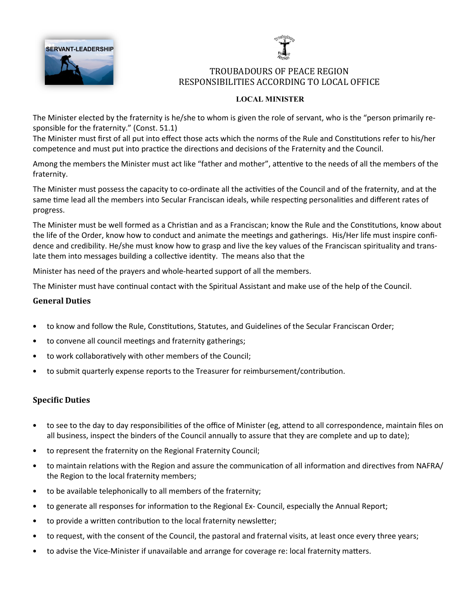



### TROUBADOURS OF PEACE REGION RESPONSIBILITIES ACCORDING TO LOCAL OFFICE

### LOCAL MINISTER

The Minister elected by the fraternity is he/she to whom is given the role of servant, who is the "person primarily responsible for the fraternity." (Const. 51.1)

The Minister must first of all put into effect those acts which the norms of the Rule and Constitutions refer to his/her competence and must put into practice the directions and decisions of the Fraternity and the Council.

Among the members the Minister must act like "father and mother", attentive to the needs of all the members of the fraternity.

The Minister must possess the capacity to co-ordinate all the activities of the Council and of the fraternity, and at the same time lead all the members into Secular Franciscan ideals, while respecting personalities and different rates of progress.

The Minister must be well formed as a Christian and as a Franciscan; know the Rule and the Constitutions, know about the life of the Order, know how to conduct and animate the meetings and gatherings. His/Her life must inspire confidence and credibility. He/she must know how to grasp and live the key values of the Franciscan spirituality and translate them into messages building a collective identity. The means also that the

Minister has need of the prayers and whole-hearted support of all the members.

The Minister must have continual contact with the Spiritual Assistant and make use of the help of the Council.

### General Duties

- to know and follow the Rule, Constitutions, Statutes, and Guidelines of the Secular Franciscan Order;
- to convene all council meetings and fraternity gatherings;
- to work collaboratively with other members of the Council;
- to submit quarterly expense reports to the Treasurer for reimbursement/contribu'on.

- to see to the day to day responsibilities of the office of Minister (eg, attend to all correspondence, maintain files on all business, inspect the binders of the Council annually to assure that they are complete and up to date);
- to represent the fraternity on the Regional Fraternity Council;
- to maintain relations with the Region and assure the communication of all information and directives from NAFRA/ the Region to the local fraternity members;
- to be available telephonically to all members of the fraternity;
- to generate all responses for information to the Regional Ex- Council, especially the Annual Report;
- to provide a written contribution to the local fraternity newsletter;
- to request, with the consent of the Council, the pastoral and fraternal visits, at least once every three years;
- to advise the Vice-Minister if unavailable and arrange for coverage re: local fraternity matters.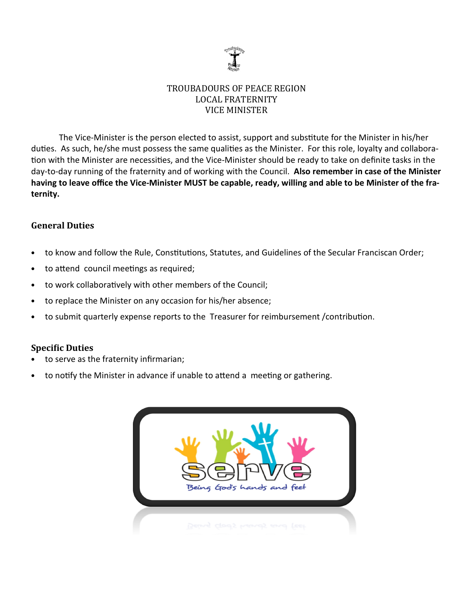

# TROUBADOURS OF PEACE REGION LOCAL FRATERNITY VICE MINISTER

The Vice-Minister is the person elected to assist, support and substitute for the Minister in his/her duties. As such, he/she must possess the same qualities as the Minister. For this role, loyalty and collaboration with the Minister are necessities, and the Vice-Minister should be ready to take on definite tasks in the day-to-day running of the fraternity and of working with the Council. Also remember in case of the Minister having to leave office the Vice-Minister MUST be capable, ready, willing and able to be Minister of the fraternity.

# **General Duties**

- to know and follow the Rule, Constitutions, Statutes, and Guidelines of the Secular Franciscan Order;
- to attend council meetings as required;
- to work collaboratively with other members of the Council;
- to replace the Minister on any occasion for his/her absence;
- to submit quarterly expense reports to the Treasurer for reimbursement / contribution.

- to serve as the fraternity infirmarian;
- to notify the Minister in advance if unable to attend a meeting or gathering.

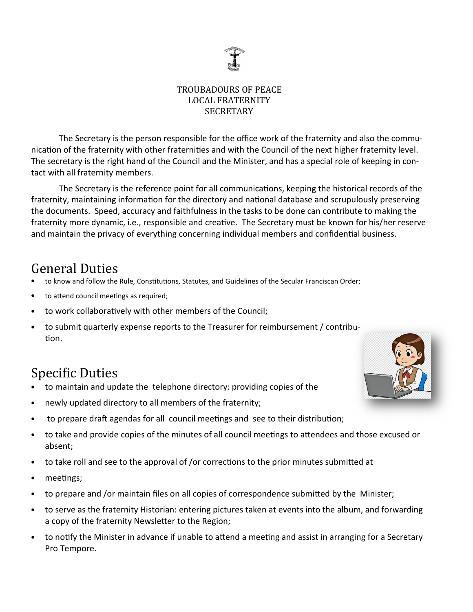

# TROUBADOURS OF PEACE LOCAL FRATERNITY **SECRETARY**

The Secretary is the person responsible for the office work of the fraternity and also the communication of the fraternity with other fraternities and with the Council of the next higher fraternity level. The secretary is the right hand of the Council and the Minister, and has a special role of keeping in contact with all fraternity members.

The Secretary is the reference point for all communications, keeping the historical records of the fraternity, maintaining information for the directory and national database and scrupulously preserving the documents. Speed, accuracy and faithfulness in the tasks to be done can contribute to making the fraternity more dynamic, i.e., responsible and creative. The Secretary must be known for his/her reserve and maintain the privacy of everything concerning individual members and confidential business.

# General Duties

- to know and follow the Rule, Constitutions, Statutes, and Guidelines of the Secular Franciscan Order;
- to attend council meetings as required;
- to work collaboratively with other members of the Council;
- to submit quarterly expense reports to the Treasurer for reimbursement / contribu tion.

- to maintain and update the telephone directory: providing copies of the
- newly updated directory to all members of the fraternity;
- to prepare draft agendas for all council meetings and see to their distribution;
- to take and provide copies of the minutes of all council meetings to attendees and those excused or absent;
- to take roll and see to the approval of /or corrections to the prior minutes submitted at
- meetings;
- to prepare and /or maintain files on all copies of correspondence submitted by the Minister;
- to serve as the fraternity Historian: entering pictures taken at events into the album, and forwarding a copy of the fraternity Newsletter to the Region;
- to notify the Minister in advance if unable to attend a meeting and assist in arranging for a Secretary Pro Tempore.

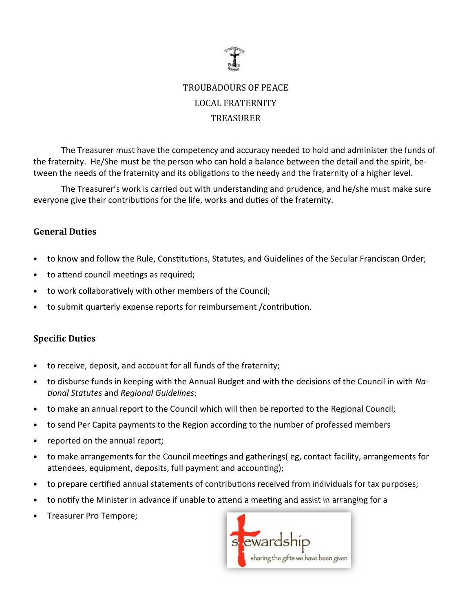

# TROUBADOURS OF PEACE LOCAL FRATERNITY TREASURER

The Treasurer must have the competency and accuracy needed to hold and administer the funds of the fraternity. He/She must be the person who can hold a balance between the detail and the spirit, between the needs of the fraternity and its obligations to the needy and the fraternity of a higher level.

 The Treasurer's work is carried out with understanding and prudence, and he/she must make sure everyone give their contributions for the life, works and duties of the fraternity.

# General Duties

- to know and follow the Rule, Constitutions, Statutes, and Guidelines of the Secular Franciscan Order;
- to attend council meetings as required;
- to work collaboratively with other members of the Council;
- to submit quarterly expense reports for reimbursement / contribution.

- to receive, deposit, and account for all funds of the fraternity;
- to disburse funds in keeping with the Annual Budget and with the decisions of the Council in with National Statutes and Regional Guidelines;
- to make an annual report to the Council which will then be reported to the Regional Council;
- to send Per Capita payments to the Region according to the number of professed members
- reported on the annual report;
- to make arrangements for the Council meetings and gatherings (eg, contact facility, arrangements for attendees, equipment, deposits, full payment and accounting);
- to prepare certified annual statements of contributions received from individuals for tax purposes;
- to notify the Minister in advance if unable to attend a meeting and assist in arranging for a
- Treasurer Pro Tempore;

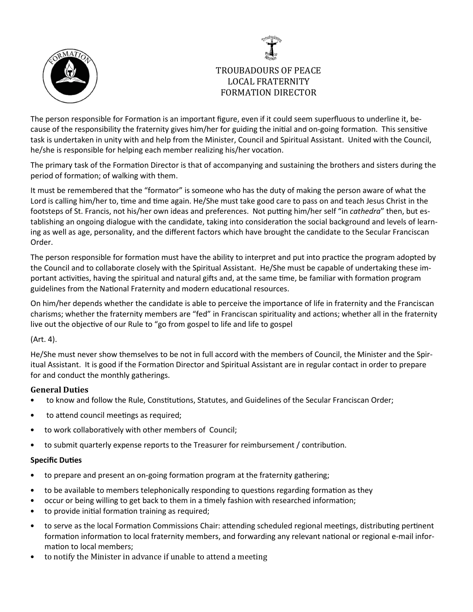



# TROUBADOURS OF PEACE LOCAL FRATERNITY FORMATION DIRECTOR

The person responsible for Formation is an important figure, even if it could seem superfluous to underline it, because of the responsibility the fraternity gives him/her for guiding the initial and on-going formation. This sensitive task is undertaken in unity with and help from the Minister, Council and Spiritual Assistant. United with the Council, he/she is responsible for helping each member realizing his/her vocation.

The primary task of the Formation Director is that of accompanying and sustaining the brothers and sisters during the period of formation; of walking with them.

It must be remembered that the "formator" is someone who has the duty of making the person aware of what the Lord is calling him/her to, time and time again. He/She must take good care to pass on and teach Jesus Christ in the footsteps of St. Francis, not his/her own ideas and preferences. Not putting him/her self "in cathedra" then, but establishing an ongoing dialogue with the candidate, taking into consideration the social background and levels of learning as well as age, personality, and the different factors which have brought the candidate to the Secular Franciscan Order.

The person responsible for formation must have the ability to interpret and put into practice the program adopted by the Council and to collaborate closely with the Spiritual Assistant. He/She must be capable of undertaking these important activities, having the spiritual and natural gifts and, at the same time, be familiar with formation program guidelines from the National Fraternity and modern educational resources.

On him/her depends whether the candidate is able to perceive the importance of life in fraternity and the Franciscan charisms; whether the fraternity members are "fed" in Franciscan spirituality and actions; whether all in the fraternity live out the objective of our Rule to "go from gospel to life and life to gospel

### (Art. 4).

He/She must never show themselves to be not in full accord with the members of Council, the Minister and the Spiritual Assistant. It is good if the Formation Director and Spiritual Assistant are in regular contact in order to prepare for and conduct the monthly gatherings.

### General Duties

- to know and follow the Rule, Constitutions, Statutes, and Guidelines of the Secular Franciscan Order;
- to attend council meetings as required;
- to work collaboratively with other members of Council;
- to submit quarterly expense reports to the Treasurer for reimbursement / contribution.

- to prepare and present an on-going formation program at the fraternity gathering;
- to be available to members telephonically responding to questions regarding formation as they
- occur or being willing to get back to them in a timely fashion with researched information;
- to provide initial formation training as required;
- to serve as the local Formation Commissions Chair: attending scheduled regional meetings, distributing pertinent formation information to local fraternity members, and forwarding any relevant national or regional e-mail information to local members;
- to notify the Minister in advance if unable to attend a meeting